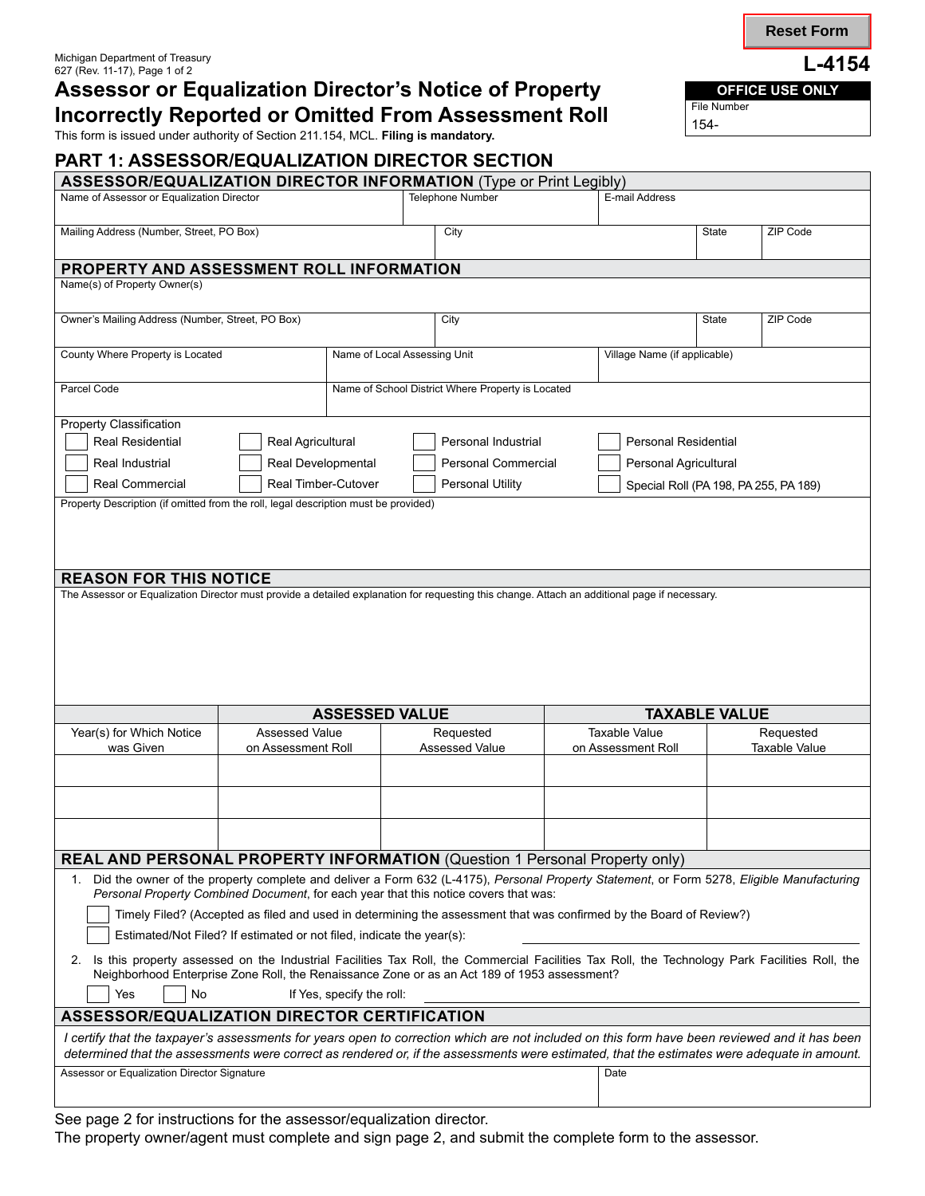# Assessor or Equalization Director's Notice of Property **OFFICE USE ONLY Incorrectly Reported or Omitted From Assessment Roll**

This form is issued under authority of Section 211.154, MCL. **Filing is mandatory.**

**PART 1: ASSESSOR/EQUALIZATION DIRECTOR SECTION**

|                                                                                                                                                                                            |                                          |                                                   |                            | <b>ASSESSOR/EQUALIZATION DIRECTOR INFORMATION (Type or Print Legibly)</b>                                           |                                       |                      |
|--------------------------------------------------------------------------------------------------------------------------------------------------------------------------------------------|------------------------------------------|---------------------------------------------------|----------------------------|---------------------------------------------------------------------------------------------------------------------|---------------------------------------|----------------------|
| Name of Assessor or Equalization Director                                                                                                                                                  |                                          | <b>Telephone Number</b>                           |                            | E-mail Address                                                                                                      |                                       |                      |
|                                                                                                                                                                                            |                                          |                                                   |                            |                                                                                                                     |                                       |                      |
| Mailing Address (Number, Street, PO Box)                                                                                                                                                   |                                          | City                                              |                            |                                                                                                                     | <b>State</b>                          | ZIP Code             |
| PROPERTY AND ASSESSMENT ROLL INFORMATION                                                                                                                                                   |                                          |                                                   |                            |                                                                                                                     |                                       |                      |
| Name(s) of Property Owner(s)                                                                                                                                                               |                                          |                                                   |                            |                                                                                                                     |                                       |                      |
|                                                                                                                                                                                            |                                          |                                                   |                            |                                                                                                                     |                                       |                      |
| Owner's Mailing Address (Number, Street, PO Box)                                                                                                                                           |                                          |                                                   | City                       |                                                                                                                     | <b>State</b>                          | ZIP Code             |
| County Where Property is Located                                                                                                                                                           |                                          | Name of Local Assessing Unit                      |                            | Village Name (if applicable)                                                                                        |                                       |                      |
|                                                                                                                                                                                            |                                          |                                                   |                            |                                                                                                                     |                                       |                      |
| Parcel Code                                                                                                                                                                                |                                          | Name of School District Where Property is Located |                            |                                                                                                                     |                                       |                      |
| <b>Property Classification</b>                                                                                                                                                             |                                          |                                                   |                            |                                                                                                                     |                                       |                      |
| <b>Real Residential</b>                                                                                                                                                                    | Real Agricultural<br>Personal Industrial |                                                   |                            | <b>Personal Residential</b>                                                                                         |                                       |                      |
| Real Industrial<br>Real Developmental                                                                                                                                                      |                                          |                                                   | <b>Personal Commercial</b> |                                                                                                                     | Personal Agricultural                 |                      |
| Real Commercial                                                                                                                                                                            | Real Timber-Cutover                      |                                                   | Personal Utility           |                                                                                                                     | Special Roll (PA 198, PA 255, PA 189) |                      |
| Property Description (if omitted from the roll, legal description must be provided)                                                                                                        |                                          |                                                   |                            |                                                                                                                     |                                       |                      |
|                                                                                                                                                                                            |                                          |                                                   |                            |                                                                                                                     |                                       |                      |
|                                                                                                                                                                                            |                                          |                                                   |                            |                                                                                                                     |                                       |                      |
|                                                                                                                                                                                            |                                          |                                                   |                            |                                                                                                                     |                                       |                      |
| <b>REASON FOR THIS NOTICE</b>                                                                                                                                                              |                                          |                                                   |                            |                                                                                                                     |                                       |                      |
| The Assessor or Equalization Director must provide a detailed explanation for requesting this change. Attach an additional page if necessary.                                              |                                          |                                                   |                            |                                                                                                                     |                                       |                      |
|                                                                                                                                                                                            |                                          |                                                   |                            |                                                                                                                     |                                       |                      |
|                                                                                                                                                                                            |                                          |                                                   |                            |                                                                                                                     |                                       |                      |
|                                                                                                                                                                                            |                                          |                                                   |                            |                                                                                                                     |                                       |                      |
|                                                                                                                                                                                            |                                          |                                                   |                            |                                                                                                                     |                                       |                      |
|                                                                                                                                                                                            | <b>ASSESSED VALUE</b>                    |                                                   |                            |                                                                                                                     |                                       |                      |
|                                                                                                                                                                                            | <b>Assessed Value</b>                    |                                                   |                            |                                                                                                                     |                                       |                      |
|                                                                                                                                                                                            |                                          |                                                   |                            |                                                                                                                     | <b>TAXABLE VALUE</b>                  |                      |
| Year(s) for Which Notice                                                                                                                                                                   |                                          |                                                   | Requested                  | <b>Taxable Value</b>                                                                                                |                                       | Requested            |
| was Given                                                                                                                                                                                  | on Assessment Roll                       |                                                   | <b>Assessed Value</b>      | on Assessment Roll                                                                                                  |                                       | <b>Taxable Value</b> |
|                                                                                                                                                                                            |                                          |                                                   |                            |                                                                                                                     |                                       |                      |
|                                                                                                                                                                                            |                                          |                                                   |                            |                                                                                                                     |                                       |                      |
|                                                                                                                                                                                            |                                          |                                                   |                            |                                                                                                                     |                                       |                      |
|                                                                                                                                                                                            |                                          |                                                   |                            |                                                                                                                     |                                       |                      |
| <b>REAL AND PERSONAL PROPERTY INFORMATION (Question 1 Personal Property only)</b>                                                                                                          |                                          |                                                   |                            |                                                                                                                     |                                       |                      |
| 1. Did the owner of the property complete and deliver a Form 632 (L-4175), Personal Property Statement, or Form 5278, Eligible Manufacturing                                               |                                          |                                                   |                            |                                                                                                                     |                                       |                      |
| Personal Property Combined Document, for each year that this notice covers that was:                                                                                                       |                                          |                                                   |                            |                                                                                                                     |                                       |                      |
|                                                                                                                                                                                            |                                          |                                                   |                            | Timely Filed? (Accepted as filed and used in determining the assessment that was confirmed by the Board of Review?) |                                       |                      |
| Estimated/Not Filed? If estimated or not filed, indicate the year(s):                                                                                                                      |                                          |                                                   |                            |                                                                                                                     |                                       |                      |
| 2. Is this property assessed on the Industrial Facilities Tax Roll, the Commercial Facilities Tax Roll, the Technology Park Facilities Roll, the                                           |                                          |                                                   |                            |                                                                                                                     |                                       |                      |
| Neighborhood Enterprise Zone Roll, the Renaissance Zone or as an Act 189 of 1953 assessment?                                                                                               |                                          |                                                   |                            |                                                                                                                     |                                       |                      |
| Yes<br>No                                                                                                                                                                                  |                                          | If Yes, specify the roll:                         |                            |                                                                                                                     |                                       |                      |
| ASSESSOR/EQUALIZATION DIRECTOR CERTIFICATION                                                                                                                                               |                                          |                                                   |                            |                                                                                                                     |                                       |                      |
| I certify that the taxpayer's assessments for years open to correction which are not included on this form have been reviewed and it has been                                              |                                          |                                                   |                            |                                                                                                                     |                                       |                      |
| determined that the assessments were correct as rendered or, if the assessments were estimated, that the estimates were adequate in amount.<br>Assessor or Equalization Director Signature |                                          |                                                   |                            | Date                                                                                                                |                                       |                      |
|                                                                                                                                                                                            |                                          |                                                   |                            |                                                                                                                     |                                       |                      |

See page 2 for instructions for the assessor/equalization director.

The property owner/agent must complete and sign page 2, and submit the complete form to the assessor.

**Reset Form**

154-